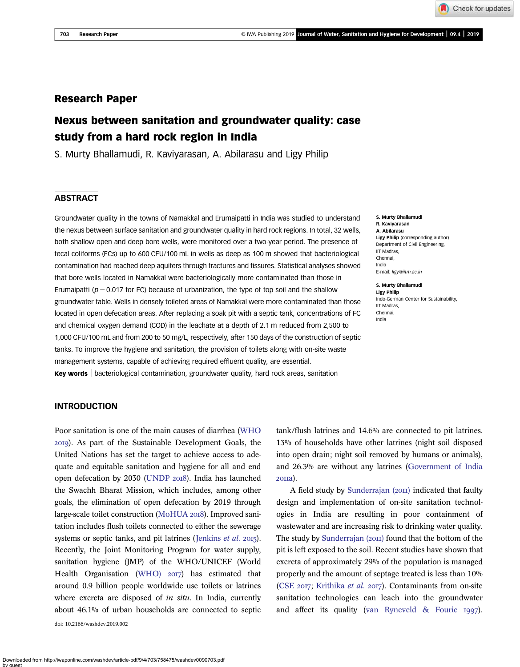## Research Paper

# Nexus between sanitation and groundwater quality: case study from a hard rock region in India

S. Murty Bhallamudi, R. Kaviyarasan, A. Abilarasu and Ligy Philip

## **ABSTRACT**

Groundwater quality in the towns of Namakkal and Erumaipatti in India was studied to understand the nexus between surface sanitation and groundwater quality in hard rock regions. In total, 32 wells, both shallow open and deep bore wells, were monitored over a two-year period. The presence of fecal coliforms (FCs) up to 600 CFU/100 mL in wells as deep as 100 m showed that bacteriological contamination had reached deep aquifers through fractures and fissures. Statistical analyses showed that bore wells located in Namakkal were bacteriologically more contaminated than those in Erumaipatti ( $p = 0.017$  for FC) because of urbanization, the type of top soil and the shallow groundwater table. Wells in densely toileted areas of Namakkal were more contaminated than those located in open defecation areas. After replacing a soak pit with a septic tank, concentrations of FC and chemical oxygen demand (COD) in the leachate at a depth of 2.1 m reduced from 2,500 to 1,000 CFU/100 mL and from 200 to 50 mg/L, respectively, after 150 days of the construction of septic tanks. To improve the hygiene and sanitation, the provision of toilets along with on-site waste management systems, capable of achieving required effluent quality, are essential. **Key words** | bacteriological contamination, groundwater quality, hard rock areas, sanitation

S. Murty Bhallamudi R. Kaviyarasan A. Abilarasu Ligy Philip (corresponding author) Department of Civil Engineering, IIT Madras, Chennai, India E-mail: ligy@iitm.ac.in

S. Murty Bhallamudi Ligy Philip Indo-German Center for Sustainability, IIT Madras, Chennai, India

## INTRODUCTION

Poor sanitation is one of the main causes of diarrhea (WHO ). As part of the Sustainable Development Goals, the United Nations has set the target to achieve access to adequate and equitable sanitation and hygiene for all and end open defecation by 2030 (UNDP 2018). India has launched the Swachh Bharat Mission, which includes, among other goals, the elimination of open defecation by 2019 through large-scale toilet construction (MoHUA 2018). Improved sanitation includes flush toilets connected to either the sewerage systems or septic tanks, and pit latrines (Jenkins *et al.* 2015). Recently, the Joint Monitoring Program for water supply, sanitation hygiene (JMP) of the WHO/UNICEF (World Health Organisation (WHO)  $20I7$ ) has estimated that around 0.9 billion people worldwide use toilets or latrines where excreta are disposed of *in situ*. In India, currently about 46.1% of urban households are connected to septic doi: 10.2166/washdev.2019.002

tank/flush latrines and 14.6% are connected to pit latrines. 13% of households have other latrines (night soil disposed into open drain; night soil removed by humans or animals), and 26.3% are without any latrines (Government of India 20па).

A field study by Sunderrajan  $(20\pi)$  indicated that faulty design and implementation of on-site sanitation technologies in India are resulting in poor containment of wastewater and are increasing risk to drinking water quality. The study by Sunderrajan  $(20\pi)$  found that the bottom of the pit is left exposed to the soil. Recent studies have shown that excreta of approximately 29% of the population is managed properly and the amount of septage treated is less than 10% (CSE 2017; Krithika et al. 2017). Contaminants from on-site sanitation technologies can leach into the groundwater and affect its quality (van Ryneveld  $&$  Fourie 1997).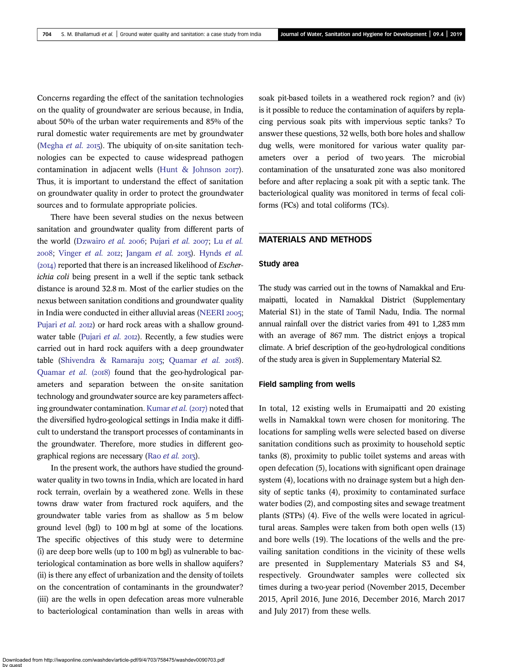Concerns regarding the effect of the sanitation technologies on the quality of groundwater are serious because, in India, about 50% of the urban water requirements and 85% of the rural domestic water requirements are met by groundwater (Megha *et al.* 2015). The ubiquity of on-site sanitation technologies can be expected to cause widespread pathogen contamination in adjacent wells (Hunt & Johnson  $2017$ ). Thus, it is important to understand the effect of sanitation on groundwater quality in order to protect the groundwater sources and to formulate appropriate policies.

There have been several studies on the nexus between sanitation and groundwater quality from different parts of the world (Dzwairo *et al.* 2006; Pujari *et al.* 2007; Lu *et al.* ; Vinger *et al.* ; Jangam *et al.* ). Hynds *et al.* (2014) reported that there is an increased likelihood of *Escherichia coli* being present in a well if the septic tank setback distance is around 32.8 m. Most of the earlier studies on the nexus between sanitation conditions and groundwater quality in India were conducted in either alluvial areas (NEERI 2005; Pujari *et al.* 2012) or hard rock areas with a shallow groundwater table (Pujari *et al.* 2012). Recently, a few studies were carried out in hard rock aquifers with a deep groundwater table (Shivendra & Ramaraju 2015; Quamar et al. 2018). Quamar *et al.* (2018) found that the geo-hydrological parameters and separation between the on-site sanitation technology and groundwater source are key parameters affecting groundwater contamination. Kumar *et al.* (2017) noted that the diversified hydro-geological settings in India make it difficult to understand the transport processes of contaminants in the groundwater. Therefore, more studies in different geographical regions are necessary (Rao et al. 2013).

In the present work, the authors have studied the groundwater quality in two towns in India, which are located in hard rock terrain, overlain by a weathered zone. Wells in these towns draw water from fractured rock aquifers, and the groundwater table varies from as shallow as 5 m below ground level (bgl) to 100 m bgl at some of the locations. The specific objectives of this study were to determine (i) are deep bore wells (up to 100 m bgl) as vulnerable to bacteriological contamination as bore wells in shallow aquifers? (ii) is there any effect of urbanization and the density of toilets on the concentration of contaminants in the groundwater? (iii) are the wells in open defecation areas more vulnerable to bacteriological contamination than wells in areas with soak pit-based toilets in a weathered rock region? and (iv) is it possible to reduce the contamination of aquifers by replacing pervious soak pits with impervious septic tanks? To answer these questions, 32 wells, both bore holes and shallow dug wells, were monitored for various water quality parameters over a period of two years. The microbial contamination of the unsaturated zone was also monitored before and after replacing a soak pit with a septic tank. The bacteriological quality was monitored in terms of fecal coliforms (FCs) and total coliforms (TCs).

## MATERIALS AND METHODS

#### Study area

The study was carried out in the towns of Namakkal and Erumaipatti, located in Namakkal District (Supplementary Material S1) in the state of Tamil Nadu, India. The normal annual rainfall over the district varies from 491 to 1,283 mm with an average of 867 mm. The district enjoys a tropical climate. A brief description of the geo-hydrological conditions of the study area is given in Supplementary Material S2.

#### Field sampling from wells

In total, 12 existing wells in Erumaipatti and 20 existing wells in Namakkal town were chosen for monitoring. The locations for sampling wells were selected based on diverse sanitation conditions such as proximity to household septic tanks (8), proximity to public toilet systems and areas with open defecation (5), locations with significant open drainage system (4), locations with no drainage system but a high density of septic tanks (4), proximity to contaminated surface water bodies (2), and composting sites and sewage treatment plants (STPs) (4). Five of the wells were located in agricultural areas. Samples were taken from both open wells (13) and bore wells (19). The locations of the wells and the prevailing sanitation conditions in the vicinity of these wells are presented in Supplementary Materials S3 and S4, respectively. Groundwater samples were collected six times during a two-year period (November 2015, December 2015, April 2016, June 2016, December 2016, March 2017 and July 2017) from these wells.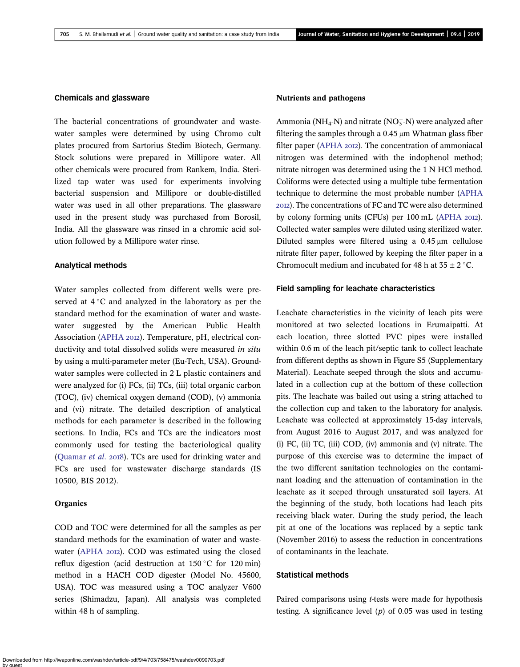### Chemicals and glassware

The bacterial concentrations of groundwater and wastewater samples were determined by using Chromo cult plates procured from Sartorius Stedim Biotech, Germany. Stock solutions were prepared in Millipore water. All other chemicals were procured from Rankem, India. Sterilized tap water was used for experiments involving bacterial suspension and Millipore or double-distilled water was used in all other preparations. The glassware used in the present study was purchased from Borosil, India. All the glassware was rinsed in a chromic acid solution followed by a Millipore water rinse.

#### Analytical methods

Water samples collected from different wells were preserved at  $4^{\circ}$ C and analyzed in the laboratory as per the standard method for the examination of water and wastewater suggested by the American Public Health Association (APHA 2012). Temperature, pH, electrical conductivity and total dissolved solids were measured *in situ* by using a multi-parameter meter (Eu-Tech, USA). Groundwater samples were collected in 2 L plastic containers and were analyzed for (i) FCs, (ii) TCs, (iii) total organic carbon (TOC), (iv) chemical oxygen demand (COD), (v) ammonia and (vi) nitrate. The detailed description of analytical methods for each parameter is described in the following sections. In India, FCs and TCs are the indicators most commonly used for testing the bacteriological quality (Quamar *et al.* 2018). TCs are used for drinking water and FCs are used for wastewater discharge standards (IS 10500, BIS 2012).

#### **Organics**

COD and TOC were determined for all the samples as per standard methods for the examination of water and wastewater (APHA 2012). COD was estimated using the closed reflux digestion (acid destruction at  $150 °C$  for  $120$  min) method in a HACH COD digester (Model No. 45600, USA). TOC was measured using a TOC analyzer V600 series (Shimadzu, Japan). All analysis was completed within 48 h of sampling.

#### Nutrients and pathogens

Ammonia (NH<sub>4</sub>-N) and nitrate (NO<sub>3</sub>-N) were analyzed after filtering the samples through a 0.45 μm Whatman glass fiber filter paper (APHA 2012). The concentration of ammoniacal nitrogen was determined with the indophenol method; nitrate nitrogen was determined using the 1 N HCl method. Coliforms were detected using a multiple tube fermentation technique to determine the most probable number (APHA ). The concentrations of FC and TC were also determined by colony forming units (CFUs) per  $100 \text{ mL}$  (APHA  $20I2$ ). Collected water samples were diluted using sterilized water. Diluted samples were filtered using a 0.45 μm cellulose nitrate filter paper, followed by keeping the filter paper in a Chromocult medium and incubated for 48 h at  $35 \pm 2$  °C.

#### Field sampling for leachate characteristics

Leachate characteristics in the vicinity of leach pits were monitored at two selected locations in Erumaipatti. At each location, three slotted PVC pipes were installed within 0.6 m of the leach pit/septic tank to collect leachate from different depths as shown in Figure S5 (Supplementary Material). Leachate seeped through the slots and accumulated in a collection cup at the bottom of these collection pits. The leachate was bailed out using a string attached to the collection cup and taken to the laboratory for analysis. Leachate was collected at approximately 15-day intervals, from August 2016 to August 2017, and was analyzed for (i) FC, (ii) TC, (iii) COD, (iv) ammonia and (v) nitrate. The purpose of this exercise was to determine the impact of the two different sanitation technologies on the contaminant loading and the attenuation of contamination in the leachate as it seeped through unsaturated soil layers. At the beginning of the study, both locations had leach pits receiving black water. During the study period, the leach pit at one of the locations was replaced by a septic tank (November 2016) to assess the reduction in concentrations of contaminants in the leachate.

#### Statistical methods

Paired comparisons using *t*-tests were made for hypothesis testing. A significance level (*p*) of 0.05 was used in testing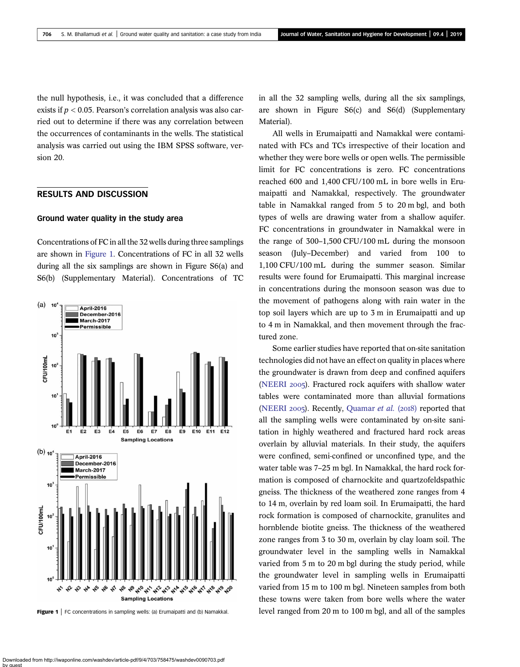the null hypothesis, i.e., it was concluded that a difference exists if *p* < 0.05. Pearson's correlation analysis was also carried out to determine if there was any correlation between the occurrences of contaminants in the wells. The statistical analysis was carried out using the IBM SPSS software, version 20.

## RESULTS AND DISCUSSION

#### Ground water quality in the study area

Concentrations of FC in all the 32 wells during three samplings are shown in Figure 1. Concentrations of FC in all 32 wells during all the six samplings are shown in Figure S6(a) and S6(b) (Supplementary Material). Concentrations of TC



in all the 32 sampling wells, during all the six samplings, are shown in Figure S6(c) and S6(d) (Supplementary Material).

All wells in Erumaipatti and Namakkal were contaminated with FCs and TCs irrespective of their location and whether they were bore wells or open wells. The permissible limit for FC concentrations is zero. FC concentrations reached 600 and 1,400 CFU/100 mL in bore wells in Erumaipatti and Namakkal, respectively. The groundwater table in Namakkal ranged from 5 to 20 m bgl, and both types of wells are drawing water from a shallow aquifer. FC concentrations in groundwater in Namakkal were in the range of 300–1,500 CFU/100 mL during the monsoon season (July–December) and varied from 100 to 1,100 CFU/100 mL during the summer season. Similar results were found for Erumaipatti. This marginal increase in concentrations during the monsoon season was due to the movement of pathogens along with rain water in the top soil layers which are up to 3 m in Erumaipatti and up to 4 m in Namakkal, and then movement through the fractured zone.

Some earlier studies have reported that on-site sanitation technologies did not have an effect on quality in places where the groundwater is drawn from deep and confined aquifers (NEERI 2005). Fractured rock aquifers with shallow water tables were contaminated more than alluvial formations (NEERI 2005). Recently, Quamar *et al.* (2018) reported that all the sampling wells were contaminated by on-site sanitation in highly weathered and fractured hard rock areas overlain by alluvial materials. In their study, the aquifers were confined, semi-confined or unconfined type, and the water table was 7–25 m bgl. In Namakkal, the hard rock formation is composed of charnockite and quartzofeldspathic gneiss. The thickness of the weathered zone ranges from 4 to 14 m, overlain by red loam soil. In Erumaipatti, the hard rock formation is composed of charnockite, granulites and hornblende biotite gneiss. The thickness of the weathered zone ranges from 3 to 30 m, overlain by clay loam soil. The groundwater level in the sampling wells in Namakkal varied from 5 m to 20 m bgl during the study period, while the groundwater level in sampling wells in Erumaipatti varied from 15 m to 100 m bgl. Nineteen samples from both these towns were taken from bore wells where the water Figure 1 | FC concentrations in sampling wells: (a) Erumaipatti and (b) Namakkal. level ranged from 20 m to 100 m bgl, and all of the samples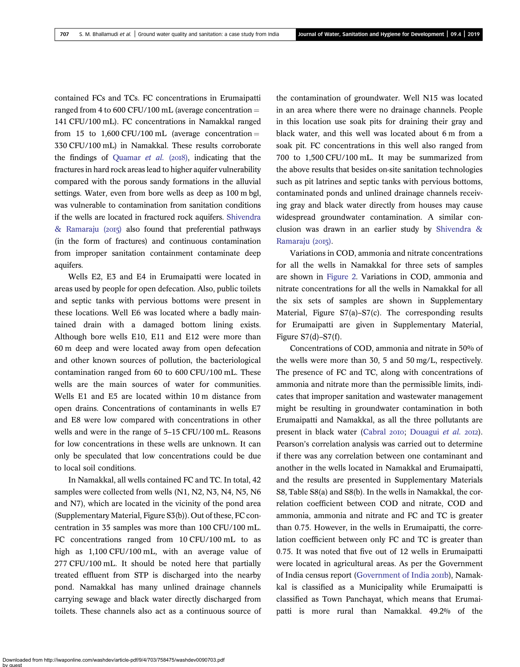contained FCs and TCs. FC concentrations in Erumaipatti ranged from 4 to 600 CFU/100 mL (average concentration  $=$ 141 CFU/100 mL). FC concentrations in Namakkal ranged from 15 to 1.600 CFU/100 mL (average concentration  $=$ 330 CFU/100 mL) in Namakkal. These results corroborate the findings of Quamar *et al.* (2018), indicating that the fractures in hard rock areas lead to higher aquifer vulnerability compared with the porous sandy formations in the alluvial settings. Water, even from bore wells as deep as 100 m bgl, was vulnerable to contamination from sanitation conditions if the wells are located in fractured rock aquifers. Shivendra & Ramaraju  $(2015)$  also found that preferential pathways (in the form of fractures) and continuous contamination from improper sanitation containment contaminate deep aquifers.

Wells E2, E3 and E4 in Erumaipatti were located in areas used by people for open defecation. Also, public toilets and septic tanks with pervious bottoms were present in these locations. Well E6 was located where a badly maintained drain with a damaged bottom lining exists. Although bore wells E10, E11 and E12 were more than 60 m deep and were located away from open defecation and other known sources of pollution, the bacteriological contamination ranged from 60 to 600 CFU/100 mL. These wells are the main sources of water for communities. Wells E1 and E5 are located within 10 m distance from open drains. Concentrations of contaminants in wells E7 and E8 were low compared with concentrations in other wells and were in the range of 5–15 CFU/100 mL. Reasons for low concentrations in these wells are unknown. It can only be speculated that low concentrations could be due to local soil conditions.

In Namakkal, all wells contained FC and TC. In total, 42 samples were collected from wells (N1, N2, N3, N4, N5, N6 and N7), which are located in the vicinity of the pond area (Supplementary Material, Figure S3(b)). Out of these, FC concentration in 35 samples was more than 100 CFU/100 mL. FC concentrations ranged from 10 CFU/100 mL to as high as 1,100 CFU/100 mL, with an average value of 277 CFU/100 mL. It should be noted here that partially treated effluent from STP is discharged into the nearby pond. Namakkal has many unlined drainage channels carrying sewage and black water directly discharged from toilets. These channels also act as a continuous source of

the contamination of groundwater. Well N15 was located in an area where there were no drainage channels. People in this location use soak pits for draining their gray and black water, and this well was located about 6 m from a soak pit. FC concentrations in this well also ranged from 700 to 1,500 CFU/100 mL. It may be summarized from the above results that besides on-site sanitation technologies such as pit latrines and septic tanks with pervious bottoms, contaminated ponds and unlined drainage channels receiving gray and black water directly from houses may cause widespread groundwater contamination. A similar conclusion was drawn in an earlier study by Shivendra & Ramaraju (2015).

Variations in COD, ammonia and nitrate concentrations for all the wells in Namakkal for three sets of samples are shown in Figure 2. Variations in COD, ammonia and nitrate concentrations for all the wells in Namakkal for all the six sets of samples are shown in Supplementary Material, Figure S7(a)–S7(c). The corresponding results for Erumaipatti are given in Supplementary Material, Figure  $S7(d)$ – $S7(f)$ .

Concentrations of COD, ammonia and nitrate in 50% of the wells were more than 30, 5 and 50 mg/L, respectively. The presence of FC and TC, along with concentrations of ammonia and nitrate more than the permissible limits, indicates that improper sanitation and wastewater management might be resulting in groundwater contamination in both Erumaipatti and Namakkal, as all the three pollutants are present in black water (Cabral 2010; Douagui *et al.* 2012). Pearson's correlation analysis was carried out to determine if there was any correlation between one contaminant and another in the wells located in Namakkal and Erumaipatti, and the results are presented in Supplementary Materials S8, Table S8(a) and S8(b). In the wells in Namakkal, the correlation coefficient between COD and nitrate, COD and ammonia, ammonia and nitrate and FC and TC is greater than 0.75. However, in the wells in Erumaipatti, the correlation coefficient between only FC and TC is greater than 0.75. It was noted that five out of 12 wells in Erumaipatti were located in agricultural areas. As per the Government of India census report (Government of India 2011b), Namakkal is classified as a Municipality while Erumaipatti is classified as Town Panchayat, which means that Erumaipatti is more rural than Namakkal. 49.2% of the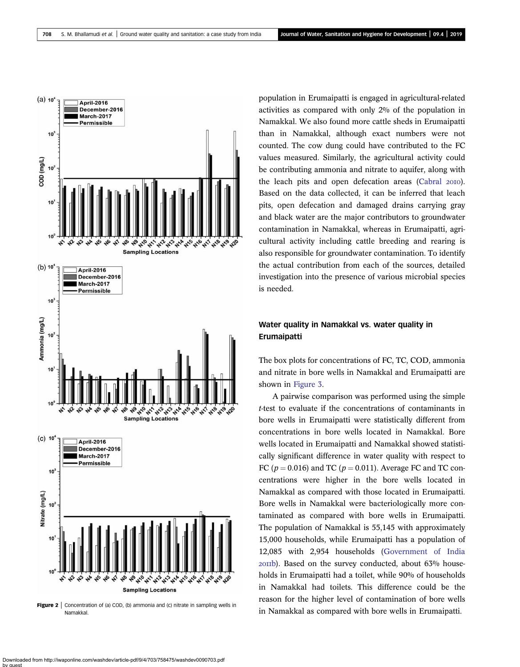

**Figure 2** | Concentration of (a) COD, (b) ammonia and (c) nitrate in sampling wells in **Namakkal** 

population in Erumaipatti is engaged in agricultural-related activities as compared with only 2% of the population in Namakkal. We also found more cattle sheds in Erumaipatti than in Namakkal, although exact numbers were not counted. The cow dung could have contributed to the FC values measured. Similarly, the agricultural activity could be contributing ammonia and nitrate to aquifer, along with the leach pits and open defecation areas (Cabral 2010). Based on the data collected, it can be inferred that leach pits, open defecation and damaged drains carrying gray and black water are the major contributors to groundwater contamination in Namakkal, whereas in Erumaipatti, agricultural activity including cattle breeding and rearing is also responsible for groundwater contamination. To identify the actual contribution from each of the sources, detailed investigation into the presence of various microbial species is needed.

## Water quality in Namakkal vs. water quality in Erumaipatti

The box plots for concentrations of FC, TC, COD, ammonia and nitrate in bore wells in Namakkal and Erumaipatti are shown in Figure 3.

A pairwise comparison was performed using the simple *t*-test to evaluate if the concentrations of contaminants in bore wells in Erumaipatti were statistically different from concentrations in bore wells located in Namakkal. Bore wells located in Erumaipatti and Namakkal showed statistically significant difference in water quality with respect to FC ( $p = 0.016$ ) and TC ( $p = 0.011$ ). Average FC and TC concentrations were higher in the bore wells located in Namakkal as compared with those located in Erumaipatti. Bore wells in Namakkal were bacteriologically more contaminated as compared with bore wells in Erumaipatti. The population of Namakkal is 55,145 with approximately 15,000 households, while Erumaipatti has a population of 12,085 with 2,954 households (Government of India b). Based on the survey conducted, about 63% households in Erumaipatti had a toilet, while 90% of households in Namakkal had toilets. This difference could be the reason for the higher level of contamination of bore wells in Namakkal as compared with bore wells in Erumaipatti.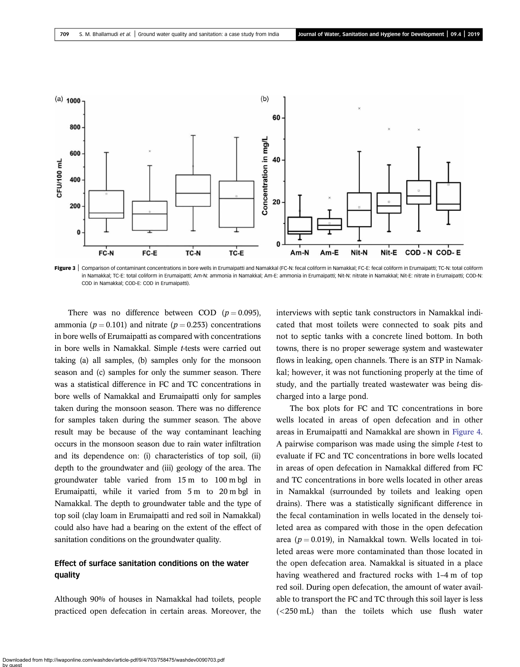

Figure 3 | Comparison of contaminant concentrations in bore wells in Erumaipatti and Namakkal (FC-N: fecal coliform in Namakkal; FC-E: fecal coliform in Erumaipatti; TC-N: total coliform in Namakkal; TC-E: total coliform in Erumaipatti; Am-N: ammonia in Namakkal; Am-E: ammonia in Erumaipatti; Nit-N: nitrate in Namakkal; Nit-E: nitrate in Erumaipatti; COD-N: COD in Namakkal; COD-E: COD in Erumaipatti).

There was no difference between COD  $(p=0.095)$ , ammonia ( $p = 0.101$ ) and nitrate ( $p = 0.253$ ) concentrations in bore wells of Erumaipatti as compared with concentrations in bore wells in Namakkal. Simple *t*-tests were carried out taking (a) all samples, (b) samples only for the monsoon season and (c) samples for only the summer season. There was a statistical difference in FC and TC concentrations in bore wells of Namakkal and Erumaipatti only for samples taken during the monsoon season. There was no difference for samples taken during the summer season. The above result may be because of the way contaminant leaching occurs in the monsoon season due to rain water infiltration and its dependence on: (i) characteristics of top soil, (ii) depth to the groundwater and (iii) geology of the area. The groundwater table varied from 15 m to 100 m bgl in Erumaipatti, while it varied from 5 m to 20 m bgl in Namakkal. The depth to groundwater table and the type of top soil (clay loam in Erumaipatti and red soil in Namakkal) could also have had a bearing on the extent of the effect of sanitation conditions on the groundwater quality.

## Effect of surface sanitation conditions on the water quality

Although 90% of houses in Namakkal had toilets, people practiced open defecation in certain areas. Moreover, the interviews with septic tank constructors in Namakkal indicated that most toilets were connected to soak pits and not to septic tanks with a concrete lined bottom. In both towns, there is no proper sewerage system and wastewater flows in leaking, open channels. There is an STP in Namakkal; however, it was not functioning properly at the time of study, and the partially treated wastewater was being discharged into a large pond.

The box plots for FC and TC concentrations in bore wells located in areas of open defecation and in other areas in Erumaipatti and Namakkal are shown in Figure 4. A pairwise comparison was made using the simple *t*-test to evaluate if FC and TC concentrations in bore wells located in areas of open defecation in Namakkal differed from FC and TC concentrations in bore wells located in other areas in Namakkal (surrounded by toilets and leaking open drains). There was a statistically significant difference in the fecal contamination in wells located in the densely toileted area as compared with those in the open defecation area ( $p = 0.019$ ), in Namakkal town. Wells located in toileted areas were more contaminated than those located in the open defecation area. Namakkal is situated in a place having weathered and fractured rocks with 1–4 m of top red soil. During open defecation, the amount of water available to transport the FC and TC through this soil layer is less (<250 mL) than the toilets which use flush water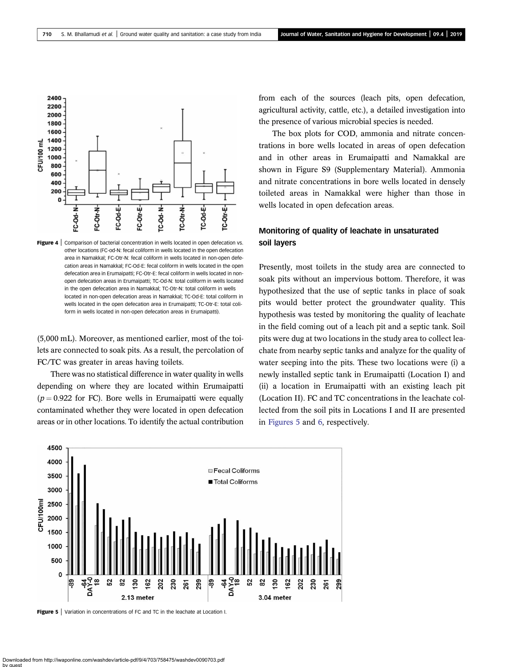

**Figure 4** Comparison of bacterial concentration in wells located in open defecation vs. other locations (FC-od-N: fecal coliform in wells located in the open defecation area in Namakkal; FC-Otr-N: fecal coliform in wells located in non-open defecation areas in Namakkal; FC-Od-E: fecal coliform in wells located in the open defecation area in Erumaipatti; FC-Otr-E: fecal coliform in wells located in nonopen defecation areas in Erumaipatti; TC-Od-N: total coliform in wells located in the open defecation area in Namakkal; TC-Otr-N: total coliform in wells located in non-open defecation areas in Namakkal; TC-Od-E: total coliform in wells located in the open defecation area in Erumaipatti; TC-Otr-E: total coliform in wells located in non-open defecation areas in Erumaipatti).

(5,000 mL). Moreover, as mentioned earlier, most of the toilets are connected to soak pits. As a result, the percolation of FC/TC was greater in areas having toilets.

There was no statistical difference in water quality in wells depending on where they are located within Erumaipatti  $(p = 0.922$  for FC). Bore wells in Erumaipatti were equally contaminated whether they were located in open defecation areas or in other locations. To identify the actual contribution from each of the sources (leach pits, open defecation, agricultural activity, cattle, etc.), a detailed investigation into the presence of various microbial species is needed.

The box plots for COD, ammonia and nitrate concentrations in bore wells located in areas of open defecation and in other areas in Erumaipatti and Namakkal are shown in Figure S9 (Supplementary Material). Ammonia and nitrate concentrations in bore wells located in densely toileted areas in Namakkal were higher than those in wells located in open defecation areas.

## Monitoring of quality of leachate in unsaturated soil layers

Presently, most toilets in the study area are connected to soak pits without an impervious bottom. Therefore, it was hypothesized that the use of septic tanks in place of soak pits would better protect the groundwater quality. This hypothesis was tested by monitoring the quality of leachate in the field coming out of a leach pit and a septic tank. Soil pits were dug at two locations in the study area to collect leachate from nearby septic tanks and analyze for the quality of water seeping into the pits. These two locations were (i) a newly installed septic tank in Erumaipatti (Location I) and (ii) a location in Erumaipatti with an existing leach pit (Location II). FC and TC concentrations in the leachate collected from the soil pits in Locations I and II are presented in Figures 5 and 6, respectively.



**Figure 5** Variation in concentrations of FC and TC in the leachate at Location I.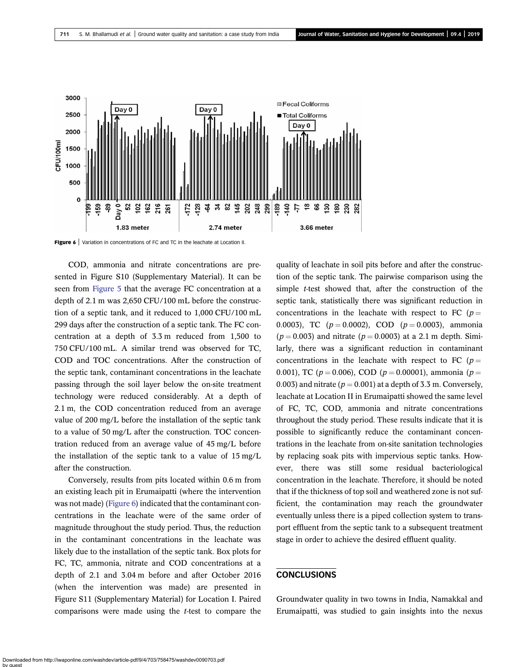

Figure 6 | Variation in concentrations of FC and TC in the leachate at Location II.

COD, ammonia and nitrate concentrations are presented in Figure S10 (Supplementary Material). It can be seen from Figure 5 that the average FC concentration at a depth of 2.1 m was 2,650 CFU/100 mL before the construction of a septic tank, and it reduced to 1,000 CFU/100 mL 299 days after the construction of a septic tank. The FC concentration at a depth of 3.3 m reduced from 1,500 to 750 CFU/100 mL. A similar trend was observed for TC, COD and TOC concentrations. After the construction of the septic tank, contaminant concentrations in the leachate passing through the soil layer below the on-site treatment technology were reduced considerably. At a depth of 2.1 m, the COD concentration reduced from an average value of 200 mg/L before the installation of the septic tank to a value of 50 mg/L after the construction. TOC concentration reduced from an average value of 45 mg/L before the installation of the septic tank to a value of 15 mg/L after the construction.

Conversely, results from pits located within 0.6 m from an existing leach pit in Erumaipatti (where the intervention was not made) (Figure 6) indicated that the contaminant concentrations in the leachate were of the same order of magnitude throughout the study period. Thus, the reduction in the contaminant concentrations in the leachate was likely due to the installation of the septic tank. Box plots for FC, TC, ammonia, nitrate and COD concentrations at a depth of 2.1 and 3.04 m before and after October 2016 (when the intervention was made) are presented in Figure S11 (Supplementary Material) for Location I. Paired comparisons were made using the *t*-test to compare the

quality of leachate in soil pits before and after the construction of the septic tank. The pairwise comparison using the simple *t*-test showed that, after the construction of the septic tank, statistically there was significant reduction in concentrations in the leachate with respect to FC ( $p =$ 0.0003), TC ( $p = 0.0002$ ), COD ( $p = 0.0003$ ), ammonia  $(p = 0.003)$  and nitrate  $(p = 0.0003)$  at a 2.1 m depth. Similarly, there was a significant reduction in contaminant concentrations in the leachate with respect to FC ( $p =$ 0.001), TC ( $p = 0.006$ ), COD ( $p = 0.00001$ ), ammonia ( $p =$ 0.003) and nitrate  $(p = 0.001)$  at a depth of 3.3 m. Conversely, leachate at Location II in Erumaipatti showed the same level of FC, TC, COD, ammonia and nitrate concentrations throughout the study period. These results indicate that it is possible to significantly reduce the contaminant concentrations in the leachate from on-site sanitation technologies by replacing soak pits with impervious septic tanks. However, there was still some residual bacteriological concentration in the leachate. Therefore, it should be noted that if the thickness of top soil and weathered zone is not sufficient, the contamination may reach the groundwater eventually unless there is a piped collection system to transport effluent from the septic tank to a subsequent treatment stage in order to achieve the desired effluent quality.

#### CONCLUSIONS

Groundwater quality in two towns in India, Namakkal and Erumaipatti, was studied to gain insights into the nexus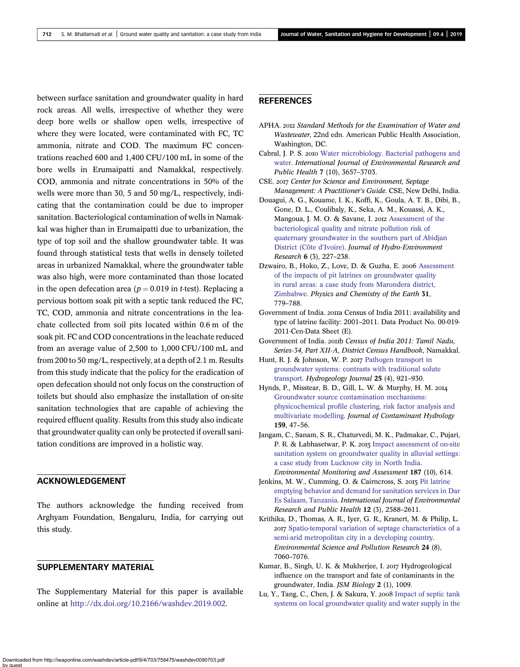between surface sanitation and groundwater quality in hard rock areas. All wells, irrespective of whether they were deep bore wells or shallow open wells, irrespective of where they were located, were contaminated with FC, TC ammonia, nitrate and COD. The maximum FC concentrations reached 600 and 1,400 CFU/100 mL in some of the bore wells in Erumaipatti and Namakkal, respectively. COD, ammonia and nitrate concentrations in 50% of the wells were more than 30, 5 and 50 mg/L, respectively, indicating that the contamination could be due to improper sanitation. Bacteriological contamination of wells in Namakkal was higher than in Erumaipatti due to urbanization, the type of top soil and the shallow groundwater table. It was found through statistical tests that wells in densely toileted areas in urbanized Namakkal, where the groundwater table was also high, were more contaminated than those located in the open defecation area ( $p = 0.019$  in *t*-test). Replacing a pervious bottom soak pit with a septic tank reduced the FC, TC, COD, ammonia and nitrate concentrations in the leachate collected from soil pits located within 0.6 m of the soak pit. FC and COD concentrations in the leachate reduced from an average value of 2,500 to 1,000 CFU/100 mL and from 200 to 50 mg/L, respectively, at a depth of 2.1 m. Results from this study indicate that the policy for the eradication of open defecation should not only focus on the construction of toilets but should also emphasize the installation of on-site sanitation technologies that are capable of achieving the required effluent quality. Results from this study also indicate that groundwater quality can only be protected if overall sanitation conditions are improved in a holistic way.

## ACKNOWLEDGEMENT

The authors acknowledge the funding received from Arghyam Foundation, Bengaluru, India, for carrying out this study.

### SUPPLEMENTARY MATERIAL

The Supplementary Material for this paper is available online at http://dx.doi.org/10.2166/washdev.2019.002.

## REFERENCES

- APHA. *Standard Methods for the Examination of Water and Wastewater*, 22nd edn. American Public Health Association, Washington, DC.
- Cabral, J. P. S. 2010 Water microbiology. Bacterial pathogens and water. *International Journal of Environmental Research and Public Health* 7 (10), 3657–3703.
- CSE. *Center for Science and Environment, Septage Management: A Practitioner*'*s Guide*. CSE, New Delhi, India.
- Douagui, A. G., Kouame, I. K., Koffi, K., Goula, A. T. B., Dibi, B., Gone, D. L., Coulibaly, K., Seka, A. M., Kouassi, A. K., Mangoua, J. M. O. & Savane, I. 2012 Assessment of the bacteriological quality and nitrate pollution risk of quaternary groundwater in the southern part of Abidjan District (Côte d'Ivoire). *Journal of Hydro-Environment Research* 6 (3), 227–238.
- Dzwairo, B., Hoko, Z., Love, D. & Guzha, E. 2006 Assessment of the impacts of pit latrines on groundwater quality in rural areas: a case study from Marondera district, Zimbabwe. *Physics and Chemistry of the Earth* 31, 779–788.
- Government of India. 2011 Census of India 2011: availability and type of latrine facility: 2001–2011. Data Product No. 00-019- 2011-Cen-Data Sheet (E).
- Government of India. 201b Census of India 2011: Tamil Nadu, *Series-34, Part XII-A, District Census Handbook*, Namakkal.
- Hunt, R. J. & Johnson, W. P. 2017 Pathogen transport in groundwater systems: contrasts with traditional solute transport. *Hydrogeology Journal* 25 (4), 921–930.
- Hynds, P., Misstear, B. D., Gill, L. W. & Murphy, H. M. Groundwater source contamination mechanisms: physicochemical profile clustering, risk factor analysis and multivariate modelling. *Journal of Contaminant Hydrology* 159, 47–56.
- Jangam, C., Sanam, S. R., Chaturvedi, M. K., Padmakar, C., Pujari, P. R. & Labhasetwar, P. K. 2015 Impact assessment of on-site sanitation system on groundwater quality in alluvial settings: a case study from Lucknow city in North India. *Environmental Monitoring and Assessment* 187 (10), 614.
- Jenkins, M. W., Cumming, O. & Cairncross, S. 2015 Pit latrine emptying behavior and demand for sanitation services in Dar Es Salaam, Tanzania. *International Journal of Environmental Research and Public Health* 12 (3), 2588–2611.
- Krithika, D., Thomas, A. R., Iyer, G. R., Kranert, M. & Philip, L. Spatio-temporal variation of septage characteristics of a semi-arid metropolitan city in a developing country. *Environmental Science and Pollution Research* 24 (8), 7060–7076.
- Kumar, B., Singh, U. K. & Mukherjee, I. 2017 Hydrogeological influence on the transport and fate of contaminants in the groundwater, India. *JSM Biology* 2 (1), 1009.
- Lu, Y., Tang, C., Chen, J. & Sakura, Y. 2008 Impact of septic tank systems on local groundwater quality and water supply in the